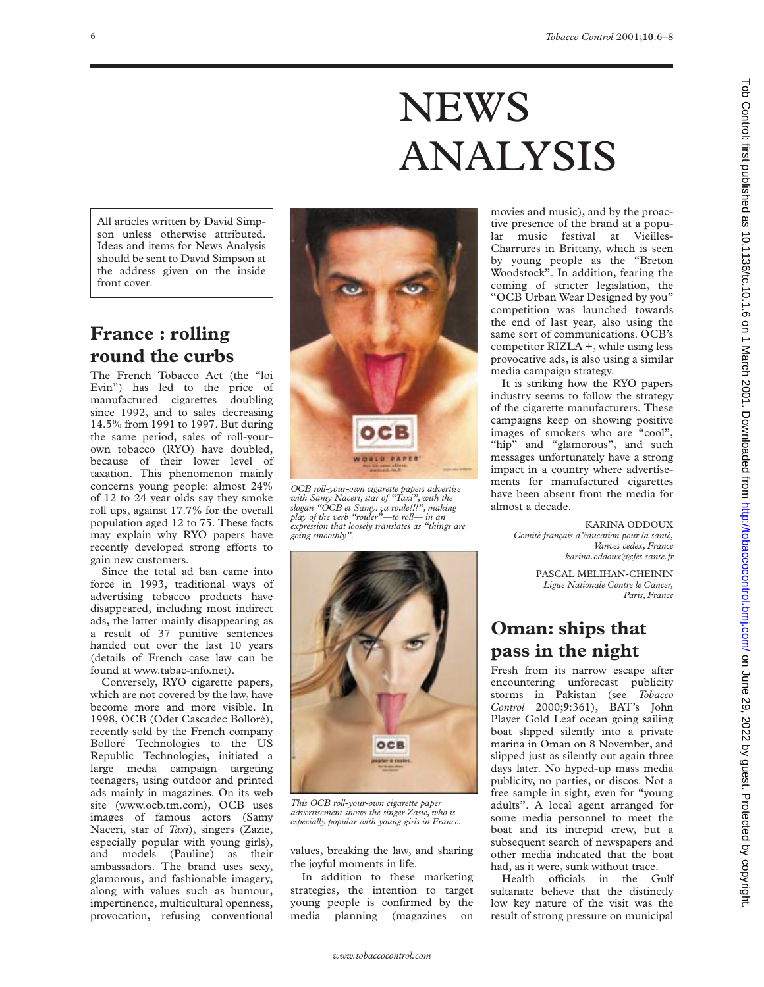# NEWS ANALYSIS

All articles written by David Simpson unless otherwise attributed. Ideas and items for News Analysis should be sent to David Simpson at the address given on the inside front cover.

#### **France : rolling round the curbs**

The French Tobacco Act (the "loi Evin") has led to the price of manufactured cigarettes doubling since 1992, and to sales decreasing 14.5% from 1991 to 1997. But during the same period, sales of roll-yourown tobacco (RYO) have doubled, because of their lower level of taxation. This phenomenon mainly concerns young people: almost 24% of 12 to 24 year olds say they smoke roll ups, against 17.7% for the overall population aged 12 to 75. These facts may explain why RYO papers have recently developed strong efforts to gain new customers.

Since the total ad ban came into force in 1993, traditional ways of advertising tobacco products have disappeared, including most indirect ads, the latter mainly disappearing as a result of 37 punitive sentences handed out over the last 10 years (details of French case law can be found at www.tabac-info.net).

Conversely, RYO cigarette papers, which are not covered by the law, have become more and more visible. In 1998, OCB (Odet Cascadec Bolloré), recently sold by the French company Bolloré Technologies to the US Republic Technologies, initiated a large media campaign targeting teenagers, using outdoor and printed ads mainly in magazines. On its web site (www.ocb.tm.com), OCB uses images of famous actors (Samy Naceri, star of *Taxi*), singers (Zazie, especially popular with young girls), and models (Pauline) as their ambassadors. The brand uses sexy, glamorous, and fashionable imagery, along with values such as humour, impertinence, multicultural openness, provocation, refusing conventional



*OCB roll-your-own cigarette papers advertise with Samy Naceri, star of "Taxi", with the slogan "OCB et Samy: ça roule!!!", making play of the verb "rouler"—to roll— in an expression that loosely translates as "things are going smoothly".*



*This OCB roll-your-own cigarette paper advertisement shows the singer Zasie, who is especially popular with young girls in France.*

values, breaking the law, and sharing the joyful moments in life.

In addition to these marketing strategies, the intention to target young people is confirmed by the media planning (magazines on movies and music), and by the proactive presence of the brand at a popular music festival at Vieilles-Charrures in Brittany, which is seen by young people as the "Breton Woodstock". In addition, fearing the coming of stricter legislation, the "OCB Urban Wear Designed by you" competition was launched towards the end of last year, also using the same sort of communications. OCB's competitor RIZLA +, while using less provocative ads, is also using a similar media campaign strategy.

It is striking how the RYO papers industry seems to follow the strategy of the cigarette manufacturers. These campaigns keep on showing positive images of smokers who are "cool", "hip" and "glamorous", and such messages unfortunately have a strong impact in a country where advertisements for manufactured cigarettes have been absent from the media for almost a decade.

> KARINA ODDOUX *Comité français d'éducation pour la santé, Vanves cedex, France karina.oddoux@cfes.sante.fr*

> > PASCAL MELIHAN-CHEININ *Ligue Nationale Contre le Cancer, Paris, France*

## **Oman: ships that pass in the night**

Fresh from its narrow escape after encountering unforecast publicity storms in Pakistan (see *Tobacco Control* 2000;**9**:361), BAT's John Player Gold Leaf ocean going sailing boat slipped silently into a private marina in Oman on 8 November, and slipped just as silently out again three days later. No hyped-up mass media publicity, no parties, or discos. Not a free sample in sight, even for "young adults". A local agent arranged for some media personnel to meet the boat and its intrepid crew, but a subsequent search of newspapers and other media indicated that the boat had, as it were, sunk without trace.

Health officials in the Gulf sultanate believe that the distinctly low key nature of the visit was the result of strong pressure on municipal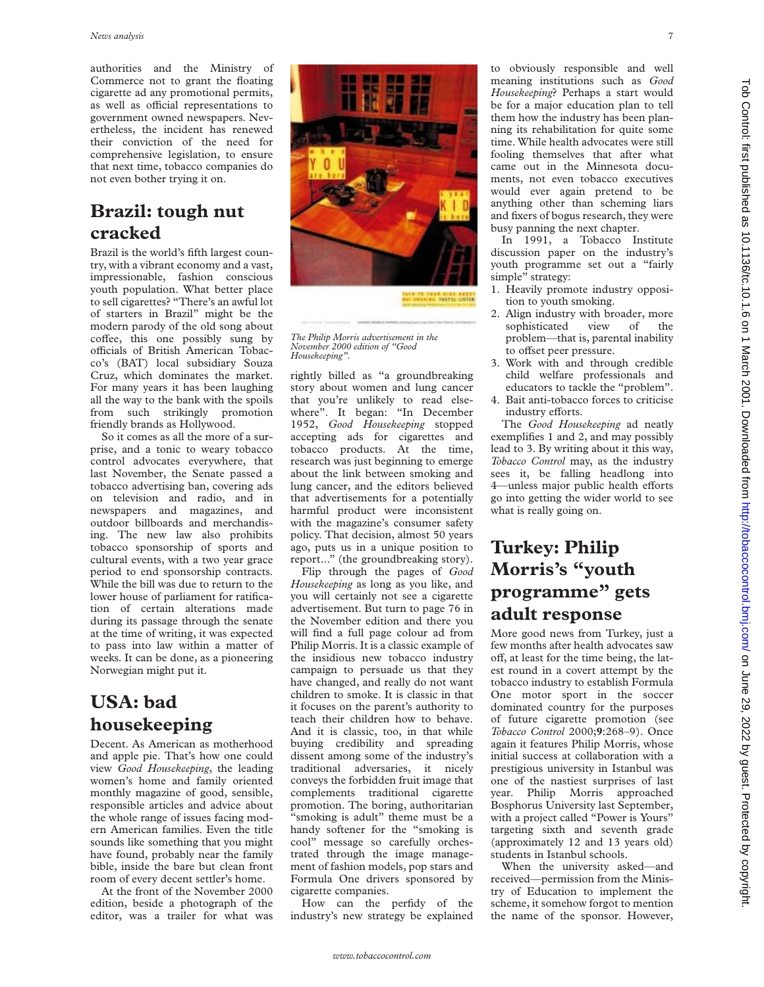authorities and the Ministry of Commerce not to grant the floating cigarette ad any promotional permits, as well as official representations to government owned newspapers. Nevertheless, the incident has renewed their conviction of the need for comprehensive legislation, to ensure that next time, tobacco companies do not even bother trying it on.

#### **Brazil: tough nut cracked**

Brazil is the world's fifth largest country, with a vibrant economy and a vast, impressionable, fashion conscious youth population. What better place to sell cigarettes? "There's an awful lot of starters in Brazil" might be the modern parody of the old song about coffee, this one possibly sung by officials of British American Tobacco's (BAT) local subsidiary Souza Cruz, which dominates the market. For many years it has been laughing all the way to the bank with the spoils from such strikingly promotion friendly brands as Hollywood.

So it comes as all the more of a surprise, and a tonic to weary tobacco control advocates everywhere, that last November, the Senate passed a tobacco advertising ban, covering ads on television and radio, and in newspapers and magazines, and outdoor billboards and merchandising. The new law also prohibits tobacco sponsorship of sports and cultural events, with a two year grace period to end sponsorship contracts. While the bill was due to return to the lower house of parliament for ratification of certain alterations made during its passage through the senate at the time of writing, it was expected to pass into law within a matter of weeks. It can be done, as a pioneering Norwegian might put it.

#### **USA: bad housekeeping**

Decent. As American as motherhood and apple pie. That's how one could view *Good Housekeeping*, the leading women's home and family oriented monthly magazine of good, sensible, responsible articles and advice about the whole range of issues facing modern American families. Even the title sounds like something that you might have found, probably near the family bible, inside the bare but clean front room of every decent settler's home.

At the front of the November 2000 edition, beside a photograph of the editor, was a trailer for what was



*The Philip Morris advertisement in the November 2000 edition of "Good Housekeeping".*

rightly billed as "a groundbreaking story about women and lung cancer that you're unlikely to read elsewhere". It began: "In December 1952, *Good Housekeeping* stopped accepting ads for cigarettes and tobacco products. At the time, research was just beginning to emerge about the link between smoking and lung cancer, and the editors believed that advertisements for a potentially harmful product were inconsistent with the magazine's consumer safety policy. That decision, almost 50 years ago, puts us in a unique position to report..." (the groundbreaking story).

Flip through the pages of *Good Housekeeping* as long as you like, and you will certainly not see a cigarette advertisement. But turn to page 76 in the November edition and there you will find a full page colour ad from Philip Morris. It is a classic example of the insidious new tobacco industry campaign to persuade us that they have changed, and really do not want children to smoke. It is classic in that it focuses on the parent's authority to teach their children how to behave. And it is classic, too, in that while buying credibility and spreading dissent among some of the industry's traditional adversaries, it nicely conveys the forbidden fruit image that complements traditional cigarette promotion. The boring, authoritarian 'smoking is adult" theme must be a handy softener for the "smoking is cool" message so carefully orchestrated through the image management of fashion models, pop stars and Formula One drivers sponsored by cigarette companies.

How can the perfidy of the industry's new strategy be explained

to obviously responsible and well meaning institutions such as *Good Housekeeping*? Perhaps a start would be for a major education plan to tell them how the industry has been planning its rehabilitation for quite some time. While health advocates were still fooling themselves that after what came out in the Minnesota documents, not even tobacco executives would ever again pretend to be anything other than scheming liars and fixers of bogus research, they were busy panning the next chapter.

In 1991, a Tobacco Institute discussion paper on the industry's youth programme set out a "fairly simple" strategy:

- 1. Heavily promote industry opposition to youth smoking.
- 2. Align industry with broader, more sophisticated view of the problem—that is, parental inability to offset peer pressure.
- 3. Work with and through credible child welfare professionals and educators to tackle the "problem".
- 4. Bait anti-tobacco forces to criticise industry efforts.

The *Good Housekeeping* ad neatly exemplifies 1 and 2, and may possibly lead to 3. By writing about it this way, *Tobacco Control* may, as the industry sees it, be falling headlong into 4—unless major public health efforts go into getting the wider world to see what is really going on.

### **Turkey: Philip Morris's "youth programme" gets adult response**

More good news from Turkey, just a few months after health advocates saw off, at least for the time being, the latest round in a covert attempt by the tobacco industry to establish Formula One motor sport in the soccer dominated country for the purposes of future cigarette promotion (see *Tobacco Control* 2000;**9**:268–9). Once again it features Philip Morris, whose initial success at collaboration with a prestigious university in Istanbul was one of the nastiest surprises of last year. Philip Morris approached Bosphorus University last September, with a project called "Power is Yours" targeting sixth and seventh grade (approximately 12 and 13 years old) students in Istanbul schools.

When the university asked—and received—permission from the Ministry of Education to implement the scheme, it somehow forgot to mention the name of the sponsor. However,